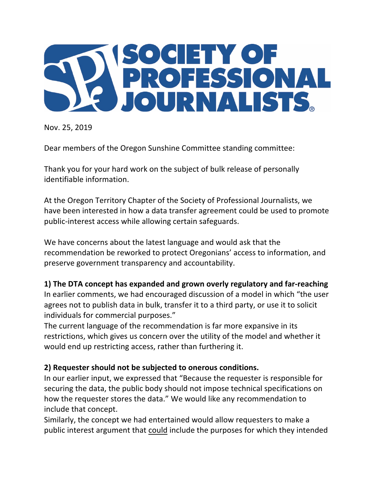

Nov. 25, 2019

Dear members of the Oregon Sunshine Committee standing committee:

Thank you for your hard work on the subject of bulk release of personally identifiable information.

At the Oregon Territory Chapter of the Society of Professional Journalists, we have been interested in how a data transfer agreement could be used to promote public-interest access while allowing certain safeguards.

We have concerns about the latest language and would ask that the recommendation be reworked to protect Oregonians' access to information, and preserve government transparency and accountability.

## **1)** The DTA concept has expanded and grown overly regulatory and far-reaching

In earlier comments, we had encouraged discussion of a model in which "the user agrees not to publish data in bulk, transfer it to a third party, or use it to solicit individuals for commercial purposes."

The current language of the recommendation is far more expansive in its restrictions, which gives us concern over the utility of the model and whether it would end up restricting access, rather than furthering it.

## **2) Requester should not be subjected to onerous conditions.**

In our earlier input, we expressed that "Because the requester is responsible for securing the data, the public body should not impose technical specifications on how the requester stores the data." We would like any recommendation to include that concept.

Similarly, the concept we had entertained would allow requesters to make a public interest argument that could include the purposes for which they intended